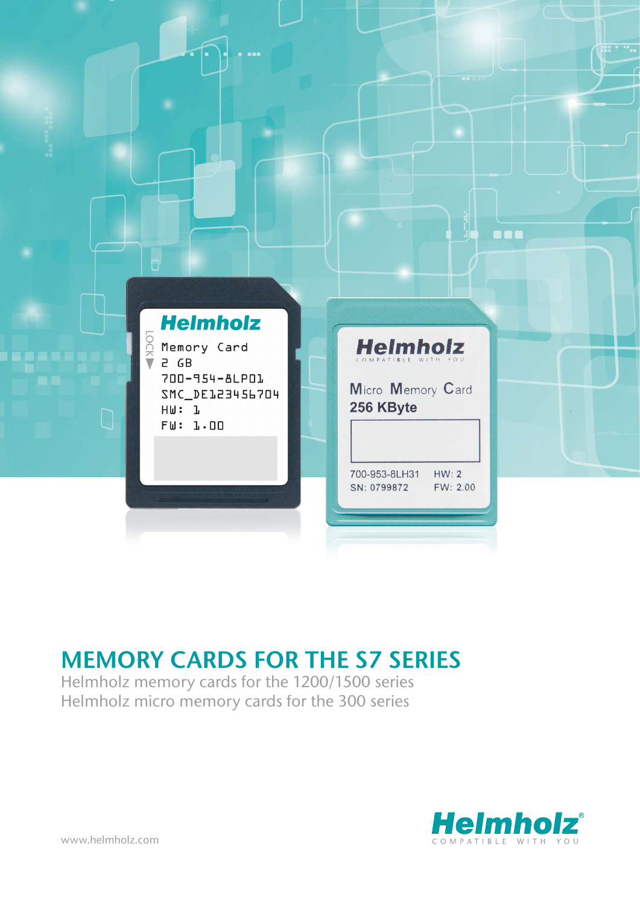

## MEMORY CARDS FOR THE S7 SERIES

Helmholz memory cards for the 1200/1500 series Helmholz micro memory cards for the 300 series